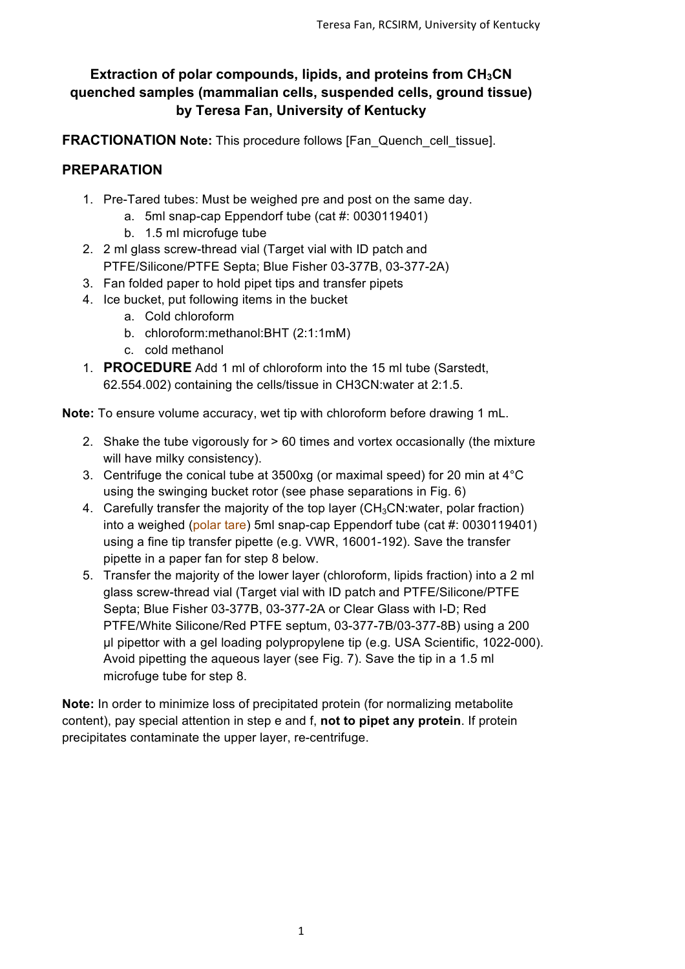## **Extraction of polar compounds, lipids, and proteins from CH<sub>3</sub>CN quenched samples (mammalian cells, suspended cells, ground tissue) by Teresa Fan, University of Kentucky**

**FRACTIONATION Note:** This procedure follows [Fan\_Quench\_cell\_tissue].

## **PREPARATION**

- 1. Pre-Tared tubes: Must be weighed pre and post on the same day.
	- a. 5ml snap-cap Eppendorf tube (cat #: 0030119401)
	- b. 1.5 ml microfuge tube
- 2. 2 ml glass screw-thread vial (Target vial with ID patch and PTFE/Silicone/PTFE Septa; Blue Fisher 03-377B, 03-377-2A)
- 3. Fan folded paper to hold pipet tips and transfer pipets
- 4. Ice bucket, put following items in the bucket
	- a. Cold chloroform
	- b. chloroform:methanol:BHT (2:1:1mM)
	- c. cold methanol
- 1. **PROCEDURE** Add 1 ml of chloroform into the 15 ml tube (Sarstedt, 62.554.002) containing the cells/tissue in CH3CN:water at 2:1.5.

**Note:** To ensure volume accuracy, wet tip with chloroform before drawing 1 mL.

- 2. Shake the tube vigorously for > 60 times and vortex occasionally (the mixture will have milky consistency).
- 3. Centrifuge the conical tube at 3500xg (or maximal speed) for 20 min at 4°C using the swinging bucket rotor (see phase separations in Fig. 6)
- 4. Carefully transfer the majority of the top layer ( $CH<sub>3</sub>CN:water$ , polar fraction) into a weighed (polar tare) 5ml snap-cap Eppendorf tube (cat #: 0030119401) using a fine tip transfer pipette (e.g. VWR, 16001-192). Save the transfer pipette in a paper fan for step 8 below.
- 5. Transfer the majority of the lower layer (chloroform, lipids fraction) into a 2 ml glass screw-thread vial (Target vial with ID patch and PTFE/Silicone/PTFE Septa; Blue Fisher 03-377B, 03-377-2A or Clear Glass with I-D; Red PTFE/White Silicone/Red PTFE septum, 03-377-7B/03-377-8B) using a 200 µl pipettor with a gel loading polypropylene tip (e.g. USA Scientific, 1022-000). Avoid pipetting the aqueous layer (see Fig. 7). Save the tip in a 1.5 ml microfuge tube for step 8.

**Note:** In order to minimize loss of precipitated protein (for normalizing metabolite content), pay special attention in step e and f, **not to pipet any protein**. If protein precipitates contaminate the upper layer, re-centrifuge.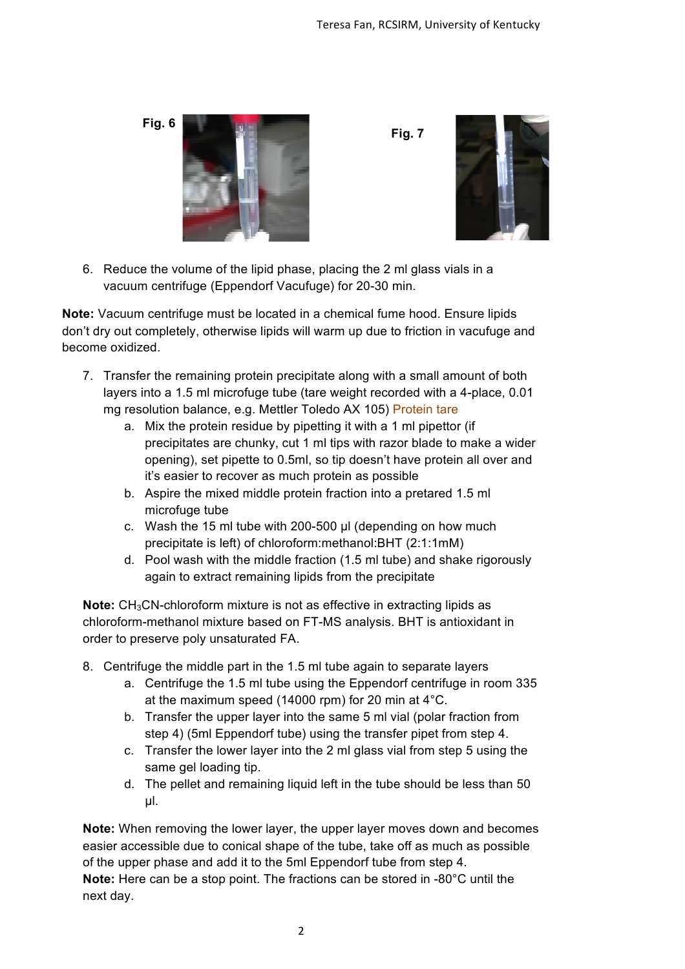

6. Reduce the volume of the lipid phase, placing the 2 ml glass vials in a vacuum centrifuge (Eppendorf Vacufuge) for 20-30 min.

**Note:** Vacuum centrifuge must be located in a chemical fume hood. Ensure lipids don't dry out completely, otherwise lipids will warm up due to friction in vacufuge and become oxidized.

- 7. Transfer the remaining protein precipitate along with a small amount of both layers into a 1.5 ml microfuge tube (tare weight recorded with a 4-place, 0.01 mg resolution balance, e.g. Mettler Toledo AX 105) Protein tare
	- a. Mix the protein residue by pipetting it with a 1 ml pipettor (if precipitates are chunky, cut 1 ml tips with razor blade to make a wider opening), set pipette to 0.5ml, so tip doesn't have protein all over and it's easier to recover as much protein as possible
	- b. Aspire the mixed middle protein fraction into a pretared 1.5 ml microfuge tube
	- c. Wash the 15 ml tube with 200-500 µl (depending on how much precipitate is left) of chloroform:methanol:BHT (2:1:1mM)
	- d. Pool wash with the middle fraction (1.5 ml tube) and shake rigorously again to extract remaining lipids from the precipitate

**Note:** CH<sub>3</sub>CN-chloroform mixture is not as effective in extracting lipids as chloroform-methanol mixture based on FT-MS analysis. BHT is antioxidant in order to preserve poly unsaturated FA.

- 8. Centrifuge the middle part in the 1.5 ml tube again to separate layers
	- a. Centrifuge the 1.5 ml tube using the Eppendorf centrifuge in room 335 at the maximum speed (14000 rpm) for 20 min at 4°C.
	- b. Transfer the upper layer into the same 5 ml vial (polar fraction from step 4) (5ml Eppendorf tube) using the transfer pipet from step 4.
	- c. Transfer the lower layer into the 2 ml glass vial from step 5 using the same gel loading tip.
	- d. The pellet and remaining liquid left in the tube should be less than 50 µl.

**Note:** When removing the lower layer, the upper layer moves down and becomes easier accessible due to conical shape of the tube, take off as much as possible of the upper phase and add it to the 5ml Eppendorf tube from step 4. **Note:** Here can be a stop point. The fractions can be stored in -80°C until the next day.